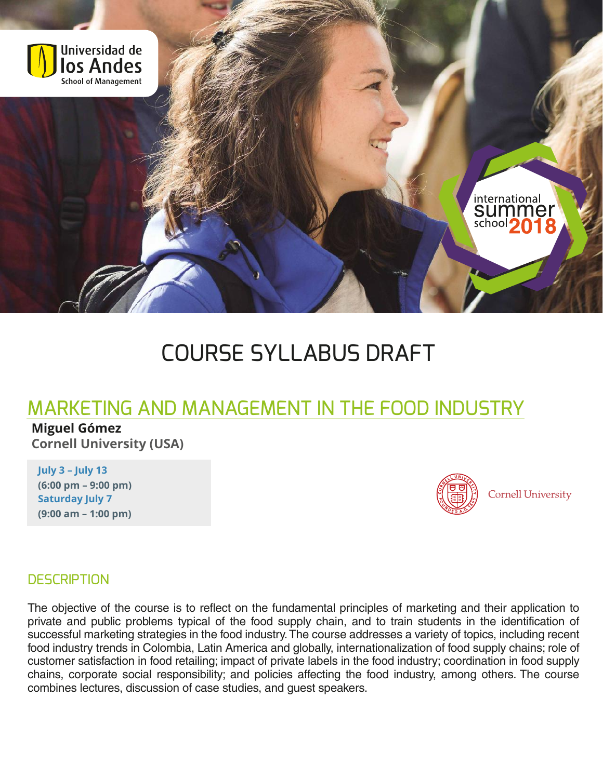

# COURSE SYLLABUS DRAFT

# MARKETING AND MANAGEMENT IN THE FOOD INDUSTRY

**Miguel Gómez Cornell University (USA)**

**July 3 – July 13 (6:00 pm – 9:00 pm) Saturday July 7 (9:00 am – 1:00 pm)**



**Cornell University** 

#### **DESCRIPTION**

The objective of the course is to reflect on the fundamental principles of marketing and their application to private and public problems typical of the food supply chain, and to train students in the identification of successful marketing strategies in the food industry.The course addresses a variety of topics, including recent food industry trends in Colombia, Latin America and globally, internationalization of food supply chains; role of customer satisfaction in food retailing; impact of private labels in the food industry; coordination in food supply chains, corporate social responsibility; and policies affecting the food industry, among others. The course combines lectures, discussion of case studies, and guest speakers.